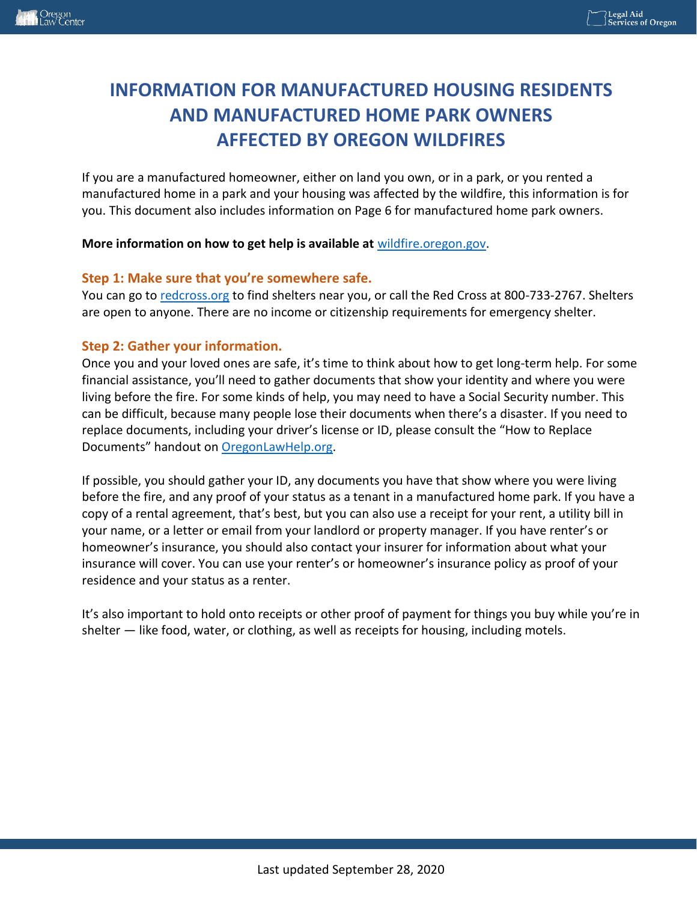# **INFORMATION FOR MANUFACTURED HOUSING RESIDENTS AND MANUFACTURED HOME PARK OWNERS AFFECTED BY OREGON WILDFIRES**

If you are a manufactured homeowner, either on land you own, or in a park, or you rented a manufactured home in a park and your housing was affected by the wildfire, this information is for you. This document also includes information on Page 6 for manufactured home park owners.

#### **More information on how to get help is available at** [wildfire.oregon.gov.](https://wildfire.oregon.gov/)

#### **Step 1: Make sure that you're somewhere safe.**

You can go to [redcross.org](https://www.redcross.org/) to find shelters near you, or call the Red Cross at 800-733-2767. Shelters are open to anyone. There are no income or citizenship requirements for emergency shelter.

#### **Step 2: Gather your information.**

Once you and your loved ones are safe, it's time to think about how to get long-term help. For some financial assistance, you'll need to gather documents that show your identity and where you were living before the fire. For some kinds of help, you may need to have a Social Security number. This can be difficult, because many people lose their documents when there's a disaster. If you need to replace documents, including your driver's license or ID, please consult the "How to Replace Documents" handout on [OregonLawHelp.org.](https://oregonlawhelp.org/)

If possible, you should gather your ID, any documents you have that show where you were living before the fire, and any proof of your status as a tenant in a manufactured home park. If you have a copy of a rental agreement, that's best, but you can also use a receipt for your rent, a utility bill in your name, or a letter or email from your landlord or property manager. If you have renter's or homeowner's insurance, you should also contact your insurer for information about what your insurance will cover. You can use your renter's or homeowner's insurance policy as proof of your residence and your status as a renter.

It's also important to hold onto receipts or other proof of payment for things you buy while you're in shelter — like food, water, or clothing, as well as receipts for housing, including motels.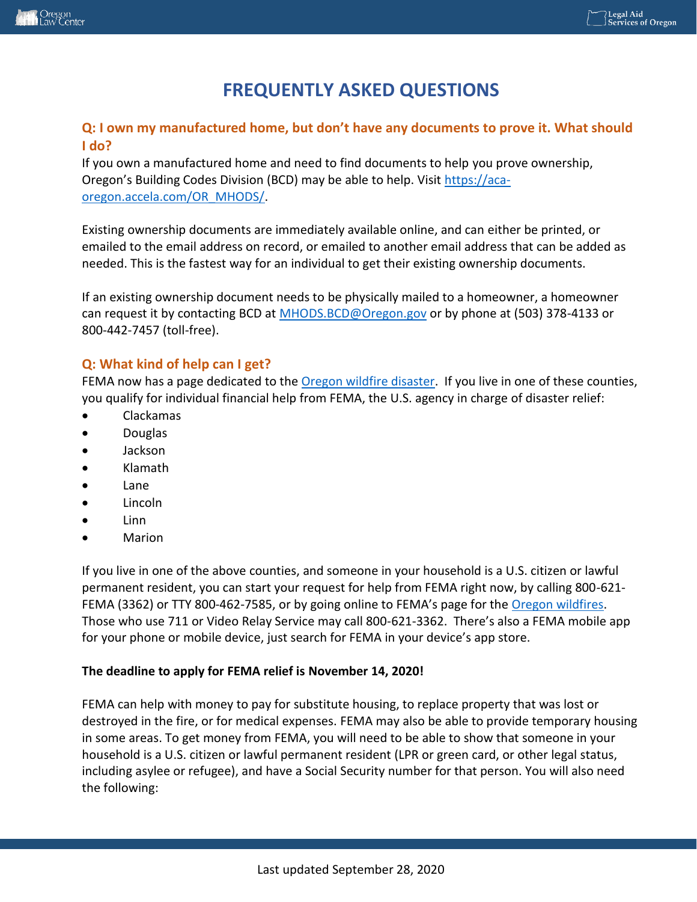## **FREQUENTLY ASKED QUESTIONS**

#### **Q: I own my manufactured home, but don't have any documents to prove it. What should I do?**

If you own a manufactured home and need to find documents to help you prove ownership, Oregon's Building Codes Division (BCD) may be able to help. Visit [https://aca](https://aca-oregon.accela.com/OR_MHODS/)[oregon.accela.com/OR\\_MHODS/.](https://aca-oregon.accela.com/OR_MHODS/)

Existing ownership documents are immediately available online, and can either be printed, or emailed to the email address on record, or emailed to another email address that can be added as needed. This is the fastest way for an individual to get their existing ownership documents.

If an existing ownership document needs to be physically mailed to a homeowner, a homeowner can request it by contacting BCD at [MHODS.BCD@Oregon.gov](mailto:MHODS.BCD@Oregon.gov) or by phone at (503) 378-4133 or 800-442-7457 (toll-free).

#### **Q: What kind of help can I get?**

FEMA now has a page dedicated to th[e Oregon wildfire disaster.](https://www.fema.gov/disaster/4562) If you live in one of these counties, you qualify for individual financial help from FEMA, the U.S. agency in charge of disaster relief:

- Clackamas
- Douglas
- Jackson
- Klamath
- Lane
- Lincoln
- Linn
- Marion

If you live in one of the above counties, and someone in your household is a U.S. citizen or lawful permanent resident, you can start your request for help from FEMA right now, by calling 800-621- FEMA (3362) or TTY 800-462-7585, or by going online to FEMA's page for the [Oregon wildfires.](https://www.fema.gov/disaster/4562) Those who use 711 or Video Relay Service may call 800-621-3362. There's also a FEMA mobile app for your phone or mobile device, just search for FEMA in your device's app store.

#### **The deadline to apply for FEMA relief is November 14, 2020!**

FEMA can help with money to pay for substitute housing, to replace property that was lost or destroyed in the fire, or for medical expenses. FEMA may also be able to provide temporary housing in some areas. To get money from FEMA, you will need to be able to show that someone in your household is a U.S. citizen or lawful permanent resident (LPR or green card, or other legal status, including asylee or refugee), and have a Social Security number for that person. You will also need the following: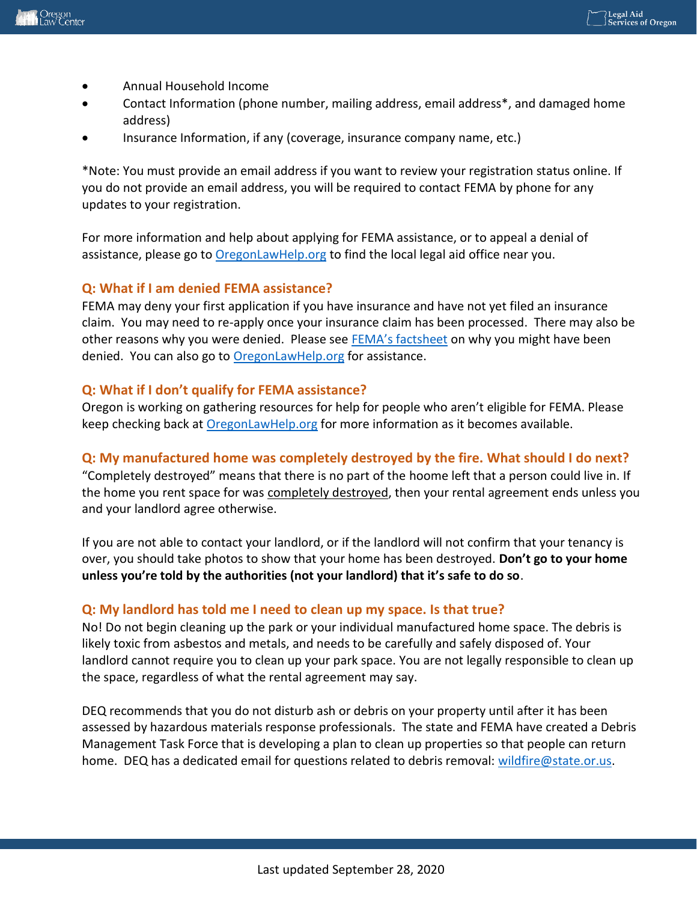

- Annual Household Income
- Contact Information (phone number, mailing address, email address\*, and damaged home address)
- Insurance Information, if any (coverage, insurance company name, etc.)

\*Note: You must provide an email address if you want to review your registration status online. If you do not provide an email address, you will be required to contact FEMA by phone for any updates to your registration.

For more information and help about applying for FEMA assistance, or to appeal a denial of assistance, please go to [OregonLawHelp.org](https://oregonlawhelp.org/) to find the local legal aid office near you.

#### **Q: What if I am denied FEMA assistance?**

FEMA may deny your first application if you have insurance and have not yet filed an insurance claim. You may need to re-apply once your insurance claim has been processed. There may also be other reasons why you were denied. Please see [FEMA's factsheet](https://www.fema.gov/fact-sheet/4562/reasons-why-fema-may-have-found-you-ineligible) on why you might have been denied. You can also go to [OregonLawHelp.org](https://oregonlawhelp.org/) for assistance.

#### **Q: What if I don't qualify for FEMA assistance?**

Oregon is working on gathering resources for help for people who aren't eligible for FEMA. Please keep checking back at **OregonLawHelp.org** for more information as it becomes available.

## **Q: My manufactured home was completely destroyed by the fire. What should I do next?**

"Completely destroyed" means that there is no part of the hoome left that a person could live in. If the home you rent space for was completely destroyed, then your rental agreement ends unless you and your landlord agree otherwise.

If you are not able to contact your landlord, or if the landlord will not confirm that your tenancy is over, you should take photos to show that your home has been destroyed. **Don't go to your home unless you're told by the authorities (not your landlord) that it's safe to do so**.

## **Q: My landlord has told me I need to clean up my space. Is that true?**

No! Do not begin cleaning up the park or your individual manufactured home space. The debris is likely toxic from asbestos and metals, and needs to be carefully and safely disposed of. Your landlord cannot require you to clean up your park space. You are not legally responsible to clean up the space, regardless of what the rental agreement may say.

DEQ recommends that you do not disturb ash or debris on your property until after it has been assessed by hazardous materials response professionals. The state and FEMA have created a Debris Management Task Force that is developing a plan to clean up properties so that people can return home. DEQ has a dedicated email for questions related to debris removal: [wildfire@state.or.us.](mailto:wildfire@state.or.us)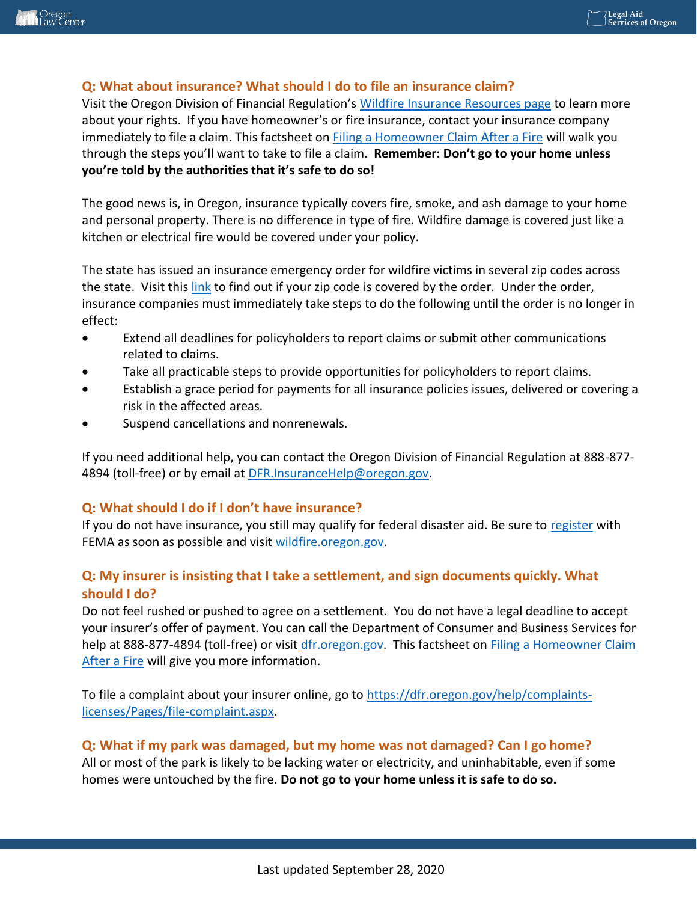## **Q: What about insurance? What should I do to file an insurance claim?**

Visit the Oregon Division of Financial Regulation's [Wildfire Insurance Resources page](https://dfr.oregon.gov/insure/home/storm/Pages/wildfires.aspx) to learn more about your rights. If you have homeowner's or fire insurance, contact your insurance company immediately to file a claim. This factsheet on [Filing a Homeowner Claim After a Fire](https://dfr.oregon.gov/insure/home/Documents/5062-fire.pdf) will walk you through the steps you'll want to take to file a claim. **Remember: Don't go to your home unless you're told by the authorities that it's safe to do so!**

The good news is, in Oregon, insurance typically covers fire, smoke, and ash damage to your home and personal property. There is no difference in type of fire. Wildfire damage is covered just like a kitchen or electrical fire would be covered under your policy.

The state has issued an insurance emergency order for wildfire victims in several zip codes across the state. Visit this [link](https://dfr.oregon.gov/laws-rules/Documents/Bulletins/bulletin2020-16.pdf) to find out if your zip code is covered by the order. Under the order, insurance companies must immediately take steps to do the following until the order is no longer in effect:

- Extend all deadlines for policyholders to report claims or submit other communications related to claims.
- Take all practicable steps to provide opportunities for policyholders to report claims.
- Establish a grace period for payments for all insurance policies issues, delivered or covering a risk in the affected areas.
- Suspend cancellations and nonrenewals.

If you need additional help, you can contact the Oregon Division of Financial Regulation at 888-877- 4894 (toll-free) or by email at [DFR.InsuranceHelp@oregon.gov.](mailto:DFR.InsuranceHelp@oregon.gov)

## **Q: What should I do if I don't have insurance?**

If you do not have insurance, you still may qualify for federal disaster aid. Be sure to [register](https://www.myoregon.gov/2020/09/18/oregonians-affected-by-wildfires-apply-for-fema-assistance/) with FEMA as soon as possible and visit [wildfire.oregon.gov.](https://wildfire.oregon.gov/)

## **Q: My insurer is insisting that I take a settlement, and sign documents quickly. What should I do?**

Do not feel rushed or pushed to agree on a settlement. You do not have a legal deadline to accept your insurer's offer of payment. You can call the Department of Consumer and Business Services for help at 888-877-4894 (toll-free) or visit [dfr.oregon.gov.](https://dfr.oregon.gov/Pages/index.aspx) This factsheet on Filing a Homeowner Claim [After a Fire](https://dfr.oregon.gov/insure/home/Documents/5062-fire.pdf) will give you more information.

To file a complaint about your insurer online, go to [https://dfr.oregon.gov/help/complaints](https://dfr.oregon.gov/help/complaints-licenses/Pages/file-complaint.aspx)[licenses/Pages/file-complaint.aspx.](https://dfr.oregon.gov/help/complaints-licenses/Pages/file-complaint.aspx)

## **Q: What if my park was damaged, but my home was not damaged? Can I go home?**

All or most of the park is likely to be lacking water or electricity, and uninhabitable, even if some homes were untouched by the fire. **Do not go to your home unless it is safe to do so.**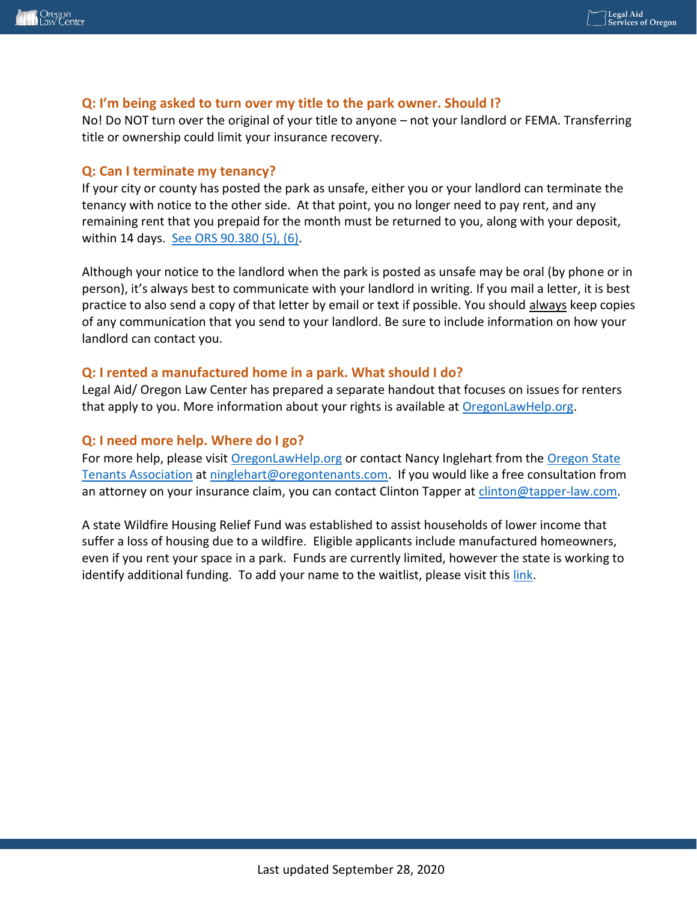#### **Q: I'm being asked to turn over my title to the park owner. Should I?**

No! Do NOT turn over the original of your title to anyone – not your landlord or FEMA. Transferring title or ownership could limit your insurance recovery.

#### **Q: Can I terminate my tenancy?**

If your city or county has posted the park as unsafe, either you or your landlord can terminate the tenancy with notice to the other side. At that point, you no longer need to pay rent, and any remaining rent that you prepaid for the month must be returned to you, along with your deposit, within 14 days. [See ORS 90.380 \(5\), \(6\).](https://www.oregonlaws.org/ors/90.380)

Although your notice to the landlord when the park is posted as unsafe may be oral (by phone or in person), it's always best to communicate with your landlord in writing. If you mail a letter, it is best practice to also send a copy of that letter by email or text if possible. You should always keep copies of any communication that you send to your landlord. Be sure to include information on how your landlord can contact you.

## **Q: I rented a manufactured home in a park. What should I do?**

Legal Aid/ Oregon Law Center has prepared a separate handout that focuses on issues for renters that apply to you. More information about your rights is available at [OregonLawHelp.org.](https://oregonlawhelp.org/)

## **Q: I need more help. Where do I go?**

For more help, please visit [OregonLawHelp.org](https://oregonlawhelp.org/) or contact Nancy Inglehart from the [Oregon State](https://oregontenants.com/)  [Tenants Association](https://oregontenants.com/) at [ninglehart@oregontenants.com.](mailto:ninglehart@oregontenants.com) If you would like a free consultation from an attorney on your insurance claim, you can contact Clinton Tapper at [clinton@tapper-law.com.](mailto:clinton@tapper-law.com)

A state Wildfire Housing Relief Fund was established to assist households of lower income that suffer a loss of housing due to a wildfire. Eligible applicants include manufactured homeowners, even if you rent your space in a park. Funds are currently limited, however the state is working to identify additional funding. To add your name to the waitlist, please visit thi[s link.](https://www.oregon.gov/ohcs/housing-assistance/Pages/program-wildfire-damage-housing-relief.aspx)